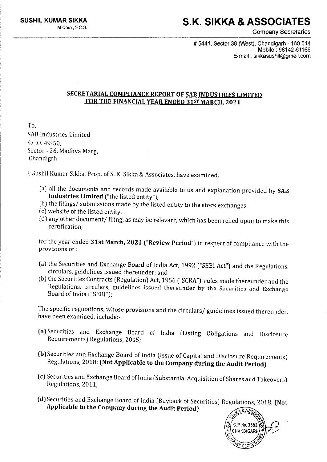## **S.K. SIKKA & ASSOCIATES**

Company Secretaries

# 5441. Sector 38 (West). Chandigarh -160 014 Mobile: 98142-61166 E-mail: [sikkasushil@gmail.com](mailto:sikkasushil@gmail.com)

## SECRETARIAL COMPLIANCE REPORT OF SAB INDUSTRIES LIMITED FOR THE FINANCIAL YEAR ENDED 31ST MARCH, 2021

To, SABIndustries Limited S.C.0.49-50, Sector - 26, Madhya Marg, Chandigrh

I, Sushi! Kumar Sikka, Prop. of S. K. Sikka & Associates, have examined:

- (a) all the documents and records made available to us and explanation provided by SAB Industries Limited ("the listed entity"),
- (b) the filings/ submissions made by the listed entity to the stock exchanges,
- (c) website of the listed entity,
- (d) any other document/ filing, as may be relevant, which has been relied upon to make this certification,

for the year ended 31st March, 2021 ("Review Period") in respect of compliance with the provisions of:

- (a) the Securities and Exchange Board of India Act, 1992 ("SEB! Act") and the Regulations, circulars, guidelines issued thereunder; and
- (b) the Securities Contracts (Regulation) Act, 1956 ("SCRA"), rules made thereunder and the Regulations, circulars, guidelines issued thereunder by the Securities and Exchange Board of India ("SEBI");

The specific regulations, whose provisions and the circulars/ guidelines issued thereunder, have been examined, include:-

- (a) Securities and Exchange Board of India (Listing Obligations and Disclosure Requirements) Regulations, 2015;
- (b) Securities and Exchange Board of India (Issue of Capital and Disclosure Requirements) Regulations, 2018; (Not Applicable to the Company during the Audit Period)
- (c) Securities and Exchange Board of India (Substantial Acquisition of Shares and Takeovers) Regulations, 2011;
- (d) Securities and Exchange Board of India (Buyback of Securities) Regulations, 2018; (Not Applicable to the Company during the Audit Period)

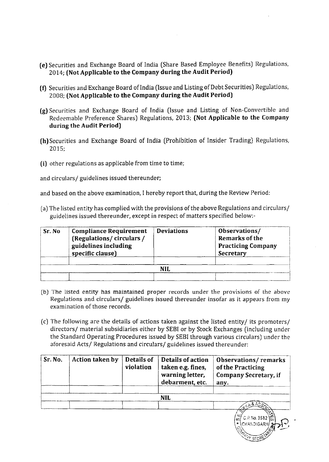- **(e)** Securities and Exchange Board of India (Share Based Employee Benefits) Regulations, 2014; **(Not Applicable to the Company during the Audit Period)**
- **(f)** Securities and Exchange Board ofIndia (Issue and Listing of Debt Securities) Regulations, 2008; **(Not Applicable to the Company during the Audit Period)**
- **(g)** Securities and Exchange Board of India (Issue and Listing of Non-Convertible and Redeemable Preference Shares) Regulations, 2013; **(Not Applicable to the Company during the Audit Period)**
- **(h)** Securities and Exchange Board of India (Prohibition of Insider Trading) Regulations, 2015;
- **(i)** other regulations as applicable from time to time;

and circulars/ guidelines issued thereunder;

and based on the above examination, I hereby report that, during the Review Period:

(a) The listed entity has complied with the provisions of the above Regulations and circulars/ guidelines issued thereunder, except in respect of matters specified below:-

| Sr. No. | <b>Compliance Requirement</b><br>(Regulations/circulars/<br>guidelines including<br>specific clause) | <b>Deviations</b> | Observations/<br>Remarks of the<br><b>Practicing Company</b><br>Secretary |
|---------|------------------------------------------------------------------------------------------------------|-------------------|---------------------------------------------------------------------------|
|         |                                                                                                      | NIL               |                                                                           |

- (b) The listed entity has maintained proper records under the provisions of the above Regulations and circulars/ guidelines issued thereunder insofar as it appears from my examination of those records.
- (c) The following are the details of actions taken against the listed entity/ its promoters/ directors/ material subsidiaries either by SEBI or by Stock Exchanges (including under the Standard Operating Procedures issued by SEBI through various circulars) under the aforesaid Acts/ Regulations and circulars/ guidelines issued thereunder:

| Sr. No. | Action taken by | Details of<br>violation | Details of action<br>taken e.g. fines,<br>warning letter,<br>debarment, etc. | <b>Observations/remarks</b><br>of the Practicing<br><b>Company Secretary, if</b><br>any. |
|---------|-----------------|-------------------------|------------------------------------------------------------------------------|------------------------------------------------------------------------------------------|
|         |                 |                         | <b>NIL</b>                                                                   |                                                                                          |
|         |                 |                         |                                                                              | C.P. No. 3582 協<br>\CHANDIGARH/                                                          |